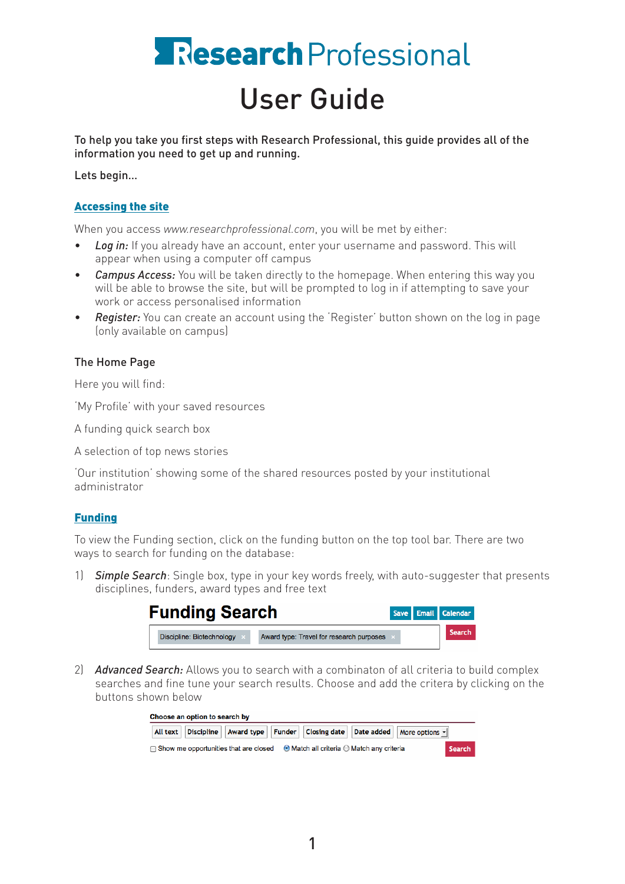# Research Professional User Guide

To help you take you first steps with Research Professional, this guide provides all of the information you need to get up and running.

Lets begin…

## Accessing the site

When you access *www.researchprofessional.com*, you will be met by either:

- Log in: If you already have an account, enter your username and password. This will appear when using a computer off campus
- *Campus Access:* You will be taken directly to the homepage. When entering this way you will be able to browse the site, but will be prompted to log in if attempting to save your work or access personalised information
- **Register:** You can create an account using the 'Register' button shown on the log in page (only available on campus)

## The Home Page

Here you will find:

'My Profile' with your saved resources

A funding quick search box

A selection of top news stories

'Our institution' showing some of the shared resources posted by your institutional administrator

#### Funding

To view the Funding section, click on the funding button on the top tool bar. There are two ways to search for funding on the database:

1) *Simple Search*: Single box, type in your key words freely, with auto-suggester that presents disciplines, funders, award types and free text

| <b>Funding Search</b>     |                                          |  | Save Email Calendar |
|---------------------------|------------------------------------------|--|---------------------|
| Discipline: Biotechnology | Award type: Travel for research purposes |  | <b>Search</b>       |

2) *Advanced Search:* Allows you to search with a combinaton of all criteria to build complex searches and fine tune your search results. Choose and add the critera by clicking on the buttons shown below

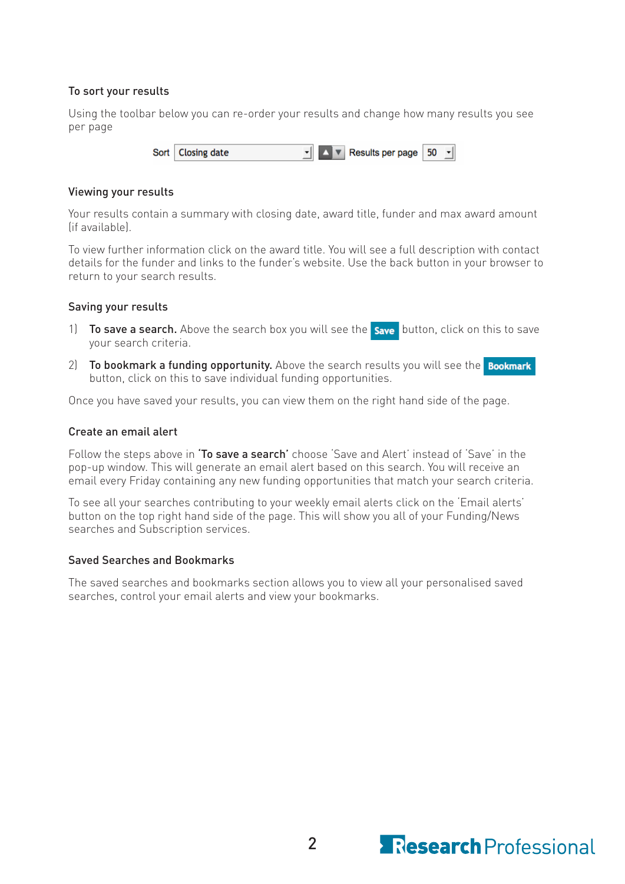## To sort your results

Using the toolbar below you can re-order your results and change how many results you see per page

> $\mathbf{F}$   $\mathbf{A}$   $\mathbf{v}$  Results per page Sort **Closing date** 50  $\vert \cdot \vert$

#### Viewing your results

Your results contain a summary with closing date, award title, funder and max award amount (if available).

To view further information click on the award title. You will see a full description with contact details for the funder and links to the funder's website. Use the back button in your browser to return to your search results.

#### Saving your results

- 1) To save a search. Above the search box you will see the save button, click on this to save your search criteria.
- 2) To bookmark a funding opportunity. Above the search results you will see the **Bookmark** button, click on this to save individual funding opportunities.

Once you have saved your results, you can view them on the right hand side of the page.

#### Create an email alert

Follow the steps above in 'To save a search' choose 'Save and Alert' instead of 'Save' in the pop-up window. This will generate an email alert based on this search. You will receive an email every Friday containing any new funding opportunities that match your search criteria.

To see all your searches contributing to your weekly email alerts click on the 'Email alerts' button on the top right hand side of the page. This will show you all of your Funding/News searches and Subscription services.

#### Saved Searches and Bookmarks

The saved searches and bookmarks section allows you to view all your personalised saved searches, control your email alerts and view your bookmarks.

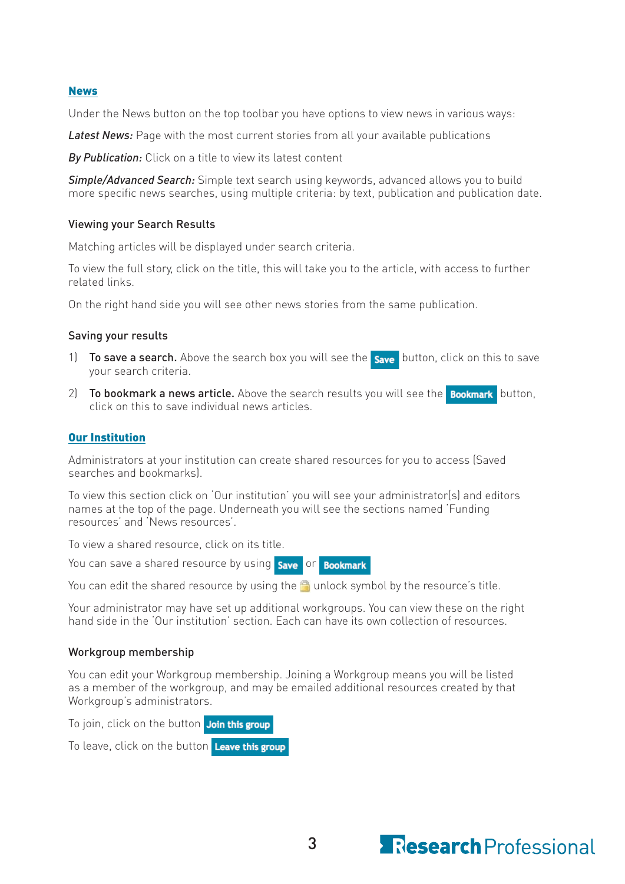#### News

Under the News button on the top toolbar you have options to view news in various ways:

*Latest News:* Page with the most current stories from all your available publications

*By Publication:* Click on a title to view its latest content

*Simple/Advanced Search:* Simple text search using keywords, advanced allows you to build more specific news searches, using multiple criteria: by text, publication and publication date.

#### Viewing your Search Results

Matching articles will be displayed under search criteria.

To view the full story, click on the title, this will take you to the article, with access to further related links.

On the right hand side you will see other news stories from the same publication.

#### Saving your results

- 1) To save a search. Above the search box you will see the save button, click on this to save your search criteria.
- 2) To bookmark a news article. Above the search results you will see the **Bookmark** button, click on this to save individual news articles.

#### Our Institution

Administrators at your institution can create shared resources for you to access (Saved searches and bookmarks).

To view this section click on 'Our institution' you will see your administrator(s) and editors names at the top of the page. Underneath you will see the sections named 'Funding resources' and 'News resources'.

To view a shared resource, click on its title.

You can save a shared resource by using save or Bookmark

You can edit the shared resource by using the  $\Box$  unlock symbol by the resource's title.

Your administrator may have set up additional workgroups. You can view these on the right hand side in the 'Our institution' section. Each can have its own collection of resources.

#### Workgroup membership

You can edit your Workgroup membership. Joining a Workgroup means you will be listed as a member of the workgroup, and may be emailed additional resources created by that Workgroup's administrators.

To join, click on the button Join this group

To leave, click on the button Leave this group